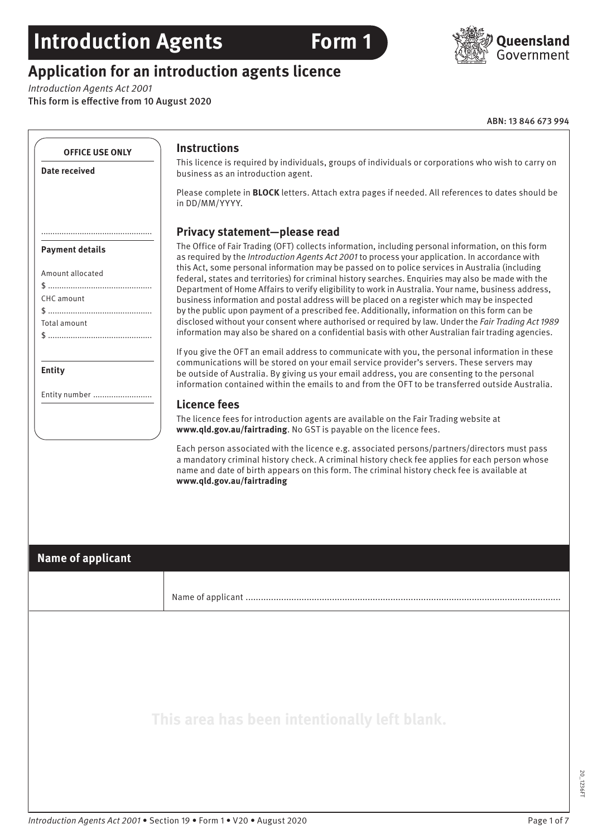## **Introduction Agents Form 1**

## **Application for an introduction agents licence**

*Introduction Agents Act 2001*

This form is effective from 10 August 2020

ABN: 13 846 673 994

|                                                                          | <b>Instructions</b>                                                                                                                                                                                                                                                                                                                                                                                                                                                                                                                                                                                                                                                                                                                                                                                                                                                                                                                   |
|--------------------------------------------------------------------------|---------------------------------------------------------------------------------------------------------------------------------------------------------------------------------------------------------------------------------------------------------------------------------------------------------------------------------------------------------------------------------------------------------------------------------------------------------------------------------------------------------------------------------------------------------------------------------------------------------------------------------------------------------------------------------------------------------------------------------------------------------------------------------------------------------------------------------------------------------------------------------------------------------------------------------------|
| <b>Date received</b>                                                     | This licence is required by individuals, groups of individuals or corporations who wish to carry on<br>business as an introduction agent.                                                                                                                                                                                                                                                                                                                                                                                                                                                                                                                                                                                                                                                                                                                                                                                             |
|                                                                          | Please complete in <b>BLOCK</b> letters. Attach extra pages if needed. All references to dates should be<br>in DD/MM/YYYY.                                                                                                                                                                                                                                                                                                                                                                                                                                                                                                                                                                                                                                                                                                                                                                                                            |
|                                                                          | Privacy statement-please read                                                                                                                                                                                                                                                                                                                                                                                                                                                                                                                                                                                                                                                                                                                                                                                                                                                                                                         |
| <b>Payment details</b><br>Amount allocated<br>CHC amount<br>Total amount | The Office of Fair Trading (OFT) collects information, including personal information, on this form<br>as required by the Introduction Agents Act 2001 to process your application. In accordance with<br>this Act, some personal information may be passed on to police services in Australia (including<br>federal, states and territories) for criminal history searches. Enquiries may also be made with the<br>Department of Home Affairs to verify eligibility to work in Australia. Your name, business address,<br>business information and postal address will be placed on a register which may be inspected<br>by the public upon payment of a prescribed fee. Additionally, information on this form can be<br>disclosed without your consent where authorised or required by law. Under the Fair Trading Act 1989<br>information may also be shared on a confidential basis with other Australian fair trading agencies. |
| <b>Entity</b>                                                            | If you give the OFT an email address to communicate with you, the personal information in these<br>communications will be stored on your email service provider's servers. These servers may<br>be outside of Australia. By giving us your email address, you are consenting to the personal<br>information contained within the emails to and from the OFT to be transferred outside Australia.                                                                                                                                                                                                                                                                                                                                                                                                                                                                                                                                      |
| Entity number                                                            | <b>Licence fees</b>                                                                                                                                                                                                                                                                                                                                                                                                                                                                                                                                                                                                                                                                                                                                                                                                                                                                                                                   |
|                                                                          | The licence fees for introduction agents are available on the Fair Trading website at<br>www.qld.gov.au/fairtrading. No GST is payable on the licence fees.                                                                                                                                                                                                                                                                                                                                                                                                                                                                                                                                                                                                                                                                                                                                                                           |
|                                                                          | name and date of birth appears on this form. The criminal history check fee is available at<br>www.qld.gov.au/fairtrading                                                                                                                                                                                                                                                                                                                                                                                                                                                                                                                                                                                                                                                                                                                                                                                                             |
| <b>Name of applicant</b>                                                 |                                                                                                                                                                                                                                                                                                                                                                                                                                                                                                                                                                                                                                                                                                                                                                                                                                                                                                                                       |
|                                                                          |                                                                                                                                                                                                                                                                                                                                                                                                                                                                                                                                                                                                                                                                                                                                                                                                                                                                                                                                       |
|                                                                          |                                                                                                                                                                                                                                                                                                                                                                                                                                                                                                                                                                                                                                                                                                                                                                                                                                                                                                                                       |

20\_1236FT

20\_1236FT

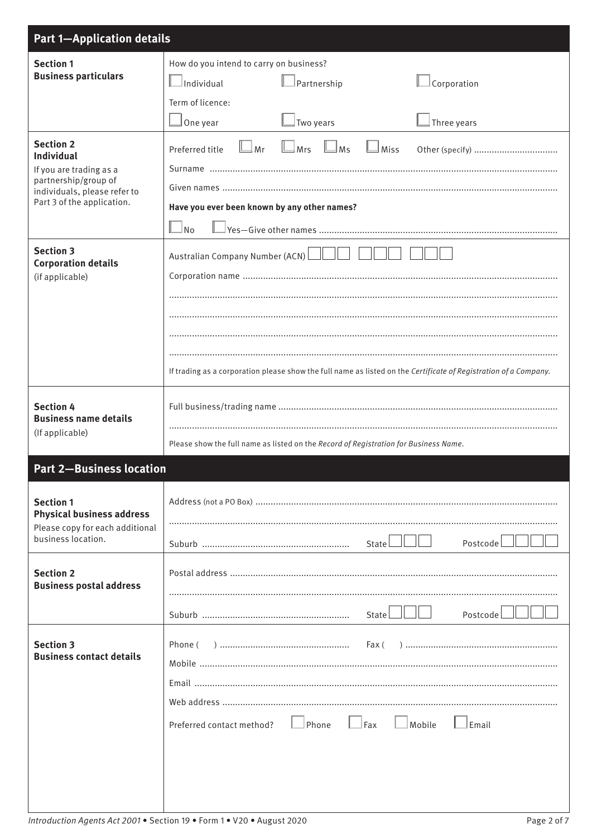| <b>Part 1-Application details</b>                    |                                                                                                                  |  |
|------------------------------------------------------|------------------------------------------------------------------------------------------------------------------|--|
| <b>Section 1</b>                                     | How do you intend to carry on business?                                                                          |  |
| <b>Business particulars</b>                          | $\Box$ Individual<br>Corporation<br>Partnership                                                                  |  |
|                                                      | Term of licence:                                                                                                 |  |
|                                                      | $\Box$ Three years<br>One year<br>Two years                                                                      |  |
| <b>Section 2</b><br><b>Individual</b>                | $\Box$ Ms<br>$\Box$ Mrs<br>$\exists$ Mr<br>$\mathbin{\mathbb J}$ Miss<br>Preferred title                         |  |
| If you are trading as a                              |                                                                                                                  |  |
| partnership/group of<br>individuals, please refer to |                                                                                                                  |  |
| Part 3 of the application.                           | Have you ever been known by any other names?                                                                     |  |
|                                                      | $\Box_{\text{No}}$<br><u> Yes—Give other names …………………………………………………………………………………</u>                               |  |
| <b>Section 3</b>                                     | Australian Company Number (ACN)                                                                                  |  |
| <b>Corporation details</b><br>(if applicable)        |                                                                                                                  |  |
|                                                      |                                                                                                                  |  |
|                                                      |                                                                                                                  |  |
|                                                      |                                                                                                                  |  |
|                                                      |                                                                                                                  |  |
|                                                      | If trading as a corporation please show the full name as listed on the Certificate of Registration of a Company. |  |
| <b>Section 4</b>                                     |                                                                                                                  |  |
| <b>Business name details</b>                         |                                                                                                                  |  |
| (If applicable)                                      | Please show the full name as listed on the Record of Registration for Business Name.                             |  |
| <b>Part 2-Business location</b>                      |                                                                                                                  |  |
|                                                      |                                                                                                                  |  |
| <b>Section 1</b><br><b>Physical business address</b> |                                                                                                                  |  |
| Please copy for each additional                      |                                                                                                                  |  |
| business location.                                   | Postcode<br>State                                                                                                |  |
| <b>Section 2</b>                                     |                                                                                                                  |  |
| <b>Business postal address</b>                       |                                                                                                                  |  |
|                                                      | State<br>Postcode                                                                                                |  |
|                                                      |                                                                                                                  |  |
| <b>Section 3</b><br><b>Business contact details</b>  | Phone (                                                                                                          |  |
|                                                      |                                                                                                                  |  |
|                                                      |                                                                                                                  |  |
|                                                      | Fax                                                                                                              |  |
|                                                      | Phone<br>Mobile<br>Preferred contact method?<br>Email                                                            |  |
|                                                      |                                                                                                                  |  |
|                                                      |                                                                                                                  |  |
|                                                      |                                                                                                                  |  |

 $\overline{\mathsf{I}}$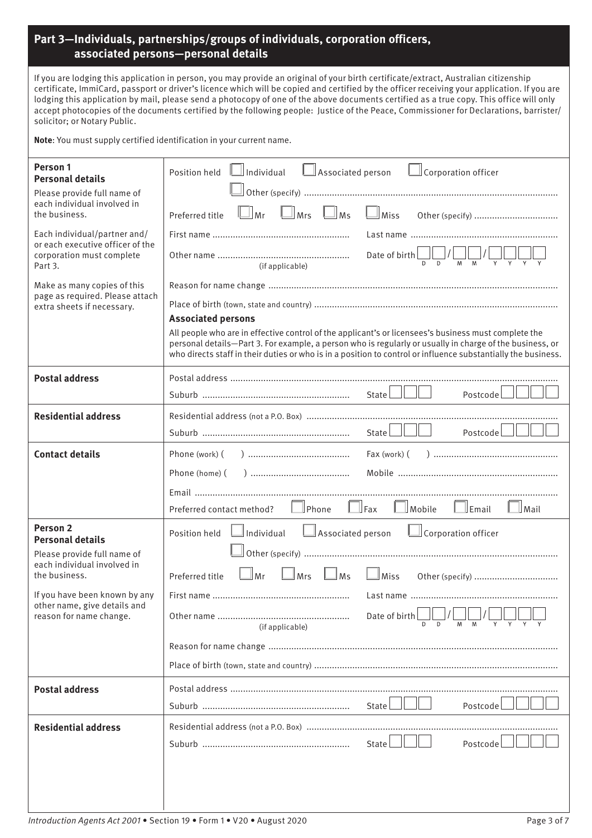## **Part 3—Individuals, partnerships/groups of individuals, corporation officers, associated persons—personal details**

If you are lodging this application in person, you may provide an original of your birth certificate/extract, Australian citizenship certificate, ImmiCard, passport or driver's licence which will be copied and certified by the officer receiving your application. If you are lodging this application by mail, please send a photocopy of one of the above documents certified as a true copy. This office will only accept photocopies of the documents certified by the following people: Justice of the Peace, Commissioner for Declarations, barrister/ solicitor; or Notary Public.

**Note**: You must supply certified identification in your current name.

| Person 1<br><b>Personal details</b><br>Please provide full name of                                       | Position held Individual<br>Associated person <u>I</u> Corporation officer                                                                                                                                                                     |
|----------------------------------------------------------------------------------------------------------|------------------------------------------------------------------------------------------------------------------------------------------------------------------------------------------------------------------------------------------------|
| each individual involved in<br>the business.                                                             | $\Box$ Mrs $\Box$ Ms<br>$\Box$ Miss<br>$\Box$ Mr<br>Preferred title                                                                                                                                                                            |
| Each individual/partner and/<br>or each executive officer of the<br>corporation must complete<br>Part 3. |                                                                                                                                                                                                                                                |
|                                                                                                          | Date of birth $\begin{array}{c} \begin{array}{ c} \hline \text{D} & \text{D} \end{array} & \begin{array}{ c} \hline \text{M} & \text{M} \end{array} & \begin{array}{ c} \hline \text{V} & \text{N} \end{array} \end{array}$<br>(if applicable) |
| Make as many copies of this<br>page as required. Please attach<br>extra sheets if necessary.             |                                                                                                                                                                                                                                                |
|                                                                                                          |                                                                                                                                                                                                                                                |
|                                                                                                          | <b>Associated persons</b><br>All people who are in effective control of the applicant's or licensees's business must complete the                                                                                                              |
|                                                                                                          | personal details-Part 3. For example, a person who is regularly or usually in charge of the business, or<br>who directs staff in their duties or who is in a position to control or influence substantially the business.                      |
| <b>Postal address</b>                                                                                    |                                                                                                                                                                                                                                                |
|                                                                                                          | $State$ $\Box$ $\Box$<br>Postcode                                                                                                                                                                                                              |
| <b>Residential address</b>                                                                               |                                                                                                                                                                                                                                                |
|                                                                                                          | State $\Box$<br>$Postcode$ $  $ $  $                                                                                                                                                                                                           |
| <b>Contact details</b>                                                                                   |                                                                                                                                                                                                                                                |
|                                                                                                          | Phone (home) (                                                                                                                                                                                                                                 |
|                                                                                                          | $\Box$ Fax<br>$\mathbb I$ Phone<br>Mobile<br>$\mathbb I$ Email<br>$\Box$ Mail<br>Preferred contact method?                                                                                                                                     |
| <b>Person 2</b><br><b>Personal details</b>                                                               | Associated person<br>$\Box$ Individual<br>$\Box$ Corporation officer<br>Position held                                                                                                                                                          |
| Please provide full name of                                                                              |                                                                                                                                                                                                                                                |
| each individual involved in<br>the business.                                                             | $\Box$ Ms<br>$\mathbb{I}_{\mathsf{Mrs}}$<br>∐ Mr<br>Preferred title<br>$\Box$ Miss                                                                                                                                                             |
| If you have been known by any                                                                            | First name.<br>Last name                                                                                                                                                                                                                       |
| other name, give details and<br>reason for name change.                                                  | Date of birth<br>(if applicable)                                                                                                                                                                                                               |
|                                                                                                          |                                                                                                                                                                                                                                                |
|                                                                                                          |                                                                                                                                                                                                                                                |
| <b>Postal address</b>                                                                                    |                                                                                                                                                                                                                                                |
|                                                                                                          | State L<br>Postcode                                                                                                                                                                                                                            |
| <b>Residential address</b>                                                                               |                                                                                                                                                                                                                                                |
|                                                                                                          | Postcode<br>State                                                                                                                                                                                                                              |
|                                                                                                          |                                                                                                                                                                                                                                                |
|                                                                                                          |                                                                                                                                                                                                                                                |
|                                                                                                          |                                                                                                                                                                                                                                                |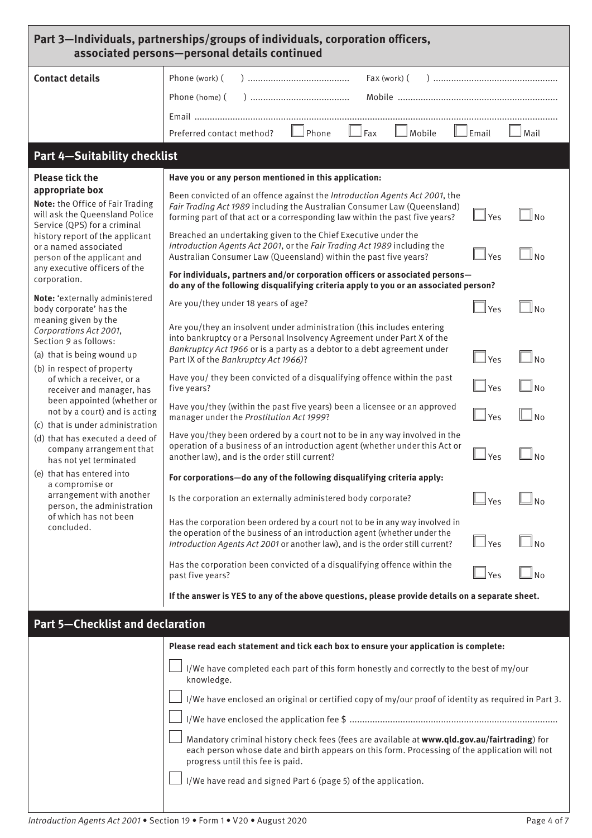| Part 3-Individuals, partnerships/groups of individuals, corporation officers,<br>associated persons-personal details continued                                                                                                                                                                                                                                                                                                                                                           |                                                                                                                                                                                                                                                                                                                                                                                                                                                                                                                                                                                                                                                                                                                                                                                                                                                                                                                                                                                                                                                                                                                                               |                                                                                        |                                                             |  |
|------------------------------------------------------------------------------------------------------------------------------------------------------------------------------------------------------------------------------------------------------------------------------------------------------------------------------------------------------------------------------------------------------------------------------------------------------------------------------------------|-----------------------------------------------------------------------------------------------------------------------------------------------------------------------------------------------------------------------------------------------------------------------------------------------------------------------------------------------------------------------------------------------------------------------------------------------------------------------------------------------------------------------------------------------------------------------------------------------------------------------------------------------------------------------------------------------------------------------------------------------------------------------------------------------------------------------------------------------------------------------------------------------------------------------------------------------------------------------------------------------------------------------------------------------------------------------------------------------------------------------------------------------|----------------------------------------------------------------------------------------|-------------------------------------------------------------|--|
| <b>Contact details</b>                                                                                                                                                                                                                                                                                                                                                                                                                                                                   | Phone (work) (<br>Fax (work) (<br>Phone (home) (<br>$\Box$ Fax<br>Phone<br>Mobile<br>Preferred contact method?                                                                                                                                                                                                                                                                                                                                                                                                                                                                                                                                                                                                                                                                                                                                                                                                                                                                                                                                                                                                                                | ⊥Email                                                                                 | Mail                                                        |  |
| <b>Part 4-Suitability checklist</b>                                                                                                                                                                                                                                                                                                                                                                                                                                                      |                                                                                                                                                                                                                                                                                                                                                                                                                                                                                                                                                                                                                                                                                                                                                                                                                                                                                                                                                                                                                                                                                                                                               |                                                                                        |                                                             |  |
| <b>Please tick the</b><br>appropriate box<br>Note: the Office of Fair Trading<br>will ask the Queensland Police<br>Service (QPS) for a criminal<br>history report of the applicant<br>or a named associated<br>person of the applicant and<br>any executive officers of the<br>corporation.<br>Note: 'externally administered<br>body corporate' has the<br>meaning given by the<br>Corporations Act 2001,                                                                               | Have you or any person mentioned in this application:<br>Been convicted of an offence against the Introduction Agents Act 2001, the<br>Fair Trading Act 1989 including the Australian Consumer Law (Queensland)<br>forming part of that act or a corresponding law within the past five years?<br>Breached an undertaking given to the Chief Executive under the<br>Introduction Agents Act 2001, or the Fair Trading Act 1989 including the<br>Australian Consumer Law (Queensland) within the past five years?<br>For individuals, partners and/or corporation officers or associated persons-<br>do any of the following disqualifying criteria apply to you or an associated person?<br>Are you/they under 18 years of age?<br>Are you/they an insolvent under administration (this includes entering<br>into bankruptcy or a Personal Insolvency Agreement under Part X of the                                                                                                                                                                                                                                                           | $\Box$ Yes<br>$\mathsf{Yes}$<br>$\ Y_{PS}$                                             | l No<br>N <sub>0</sub><br>ll No                             |  |
| Section 9 as follows:<br>(a) that is being wound up<br>(b) in respect of property<br>of which a receiver, or a<br>receiver and manager, has<br>been appointed (whether or<br>not by a court) and is acting<br>(c) that is under administration<br>(d) that has executed a deed of<br>company arrangement that<br>has not yet terminated<br>(e) that has entered into<br>a compromise or<br>arrangement with another<br>person, the administration<br>of which has not been<br>concluded. | Bankruptcy Act 1966 or is a party as a debtor to a debt agreement under<br>Part IX of the Bankruptcy Act 1966)?<br>Have you/ they been convicted of a disqualifying offence within the past<br>five years?<br>Have you/they (within the past five years) been a licensee or an approved<br>manager under the Prostitution Act 1999?<br>Have you/they been ordered by a court not to be in any way involved in the<br>operation of a business of an introduction agent (whether under this Act or<br>another law), and is the order still current?<br>For corporations-do any of the following disqualifying criteria apply:<br>Is the corporation an externally administered body corporate?<br>Has the corporation been ordered by a court not to be in any way involved in<br>the operation of the business of an introduction agent (whether under the<br>Introduction Agents Act 2001 or another law), and is the order still current?<br>Has the corporation been convicted of a disqualifying offence within the<br>past five years?<br>If the answer is YES to any of the above questions, please provide details on a separate sheet. | $\Box$ Yes<br>$\exists$ Yes<br>$\Box$ Yes<br> Yes<br><u>l Yes</u><br>$\Box$ Yes<br>Yes | $\ $ $\ $ No<br>$\mathsf{N}$<br>N <sub>0</sub><br>$\Box$ No |  |
| <b>Part 5-Checklist and declaration</b>                                                                                                                                                                                                                                                                                                                                                                                                                                                  | Please read each statement and tick each box to ensure your application is complete:<br>I/We have completed each part of this form honestly and correctly to the best of my/our<br>knowledge.<br>I/We have enclosed an original or certified copy of my/our proof of identity as required in Part 3.<br>Mandatory criminal history check fees (fees are available at www.qld.gov.au/fairtrading) for<br>each person whose date and birth appears on this form. Processing of the application will not<br>progress until this fee is paid.<br>I/We have read and signed Part 6 (page 5) of the application.                                                                                                                                                                                                                                                                                                                                                                                                                                                                                                                                    |                                                                                        |                                                             |  |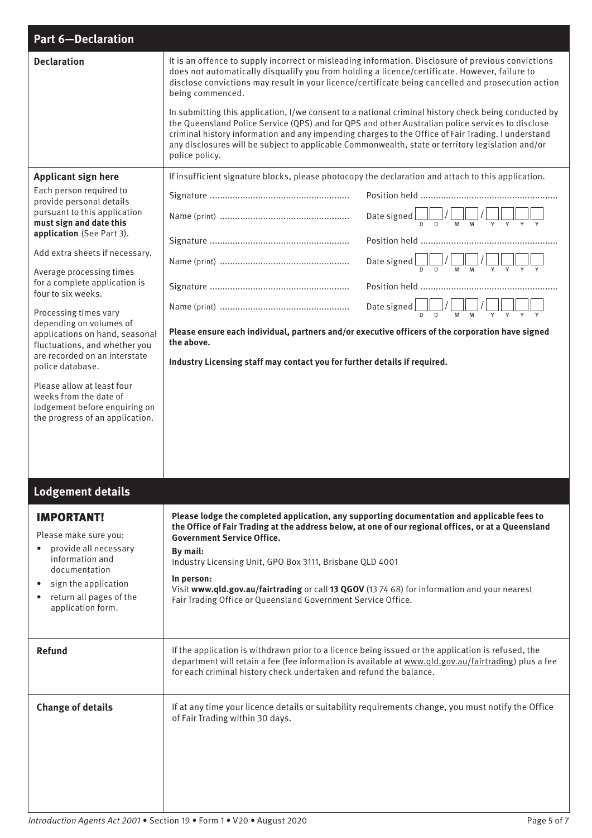| <b>Part 6-Declaration</b>                                                                                                                                                                                                                                                                                                                                                                                                                                                                                                                                                |                                                                                                                                                                                                                                                                                                                                                                                                                                                                                                                                                                                                                                                                                                                                                                        |  |
|--------------------------------------------------------------------------------------------------------------------------------------------------------------------------------------------------------------------------------------------------------------------------------------------------------------------------------------------------------------------------------------------------------------------------------------------------------------------------------------------------------------------------------------------------------------------------|------------------------------------------------------------------------------------------------------------------------------------------------------------------------------------------------------------------------------------------------------------------------------------------------------------------------------------------------------------------------------------------------------------------------------------------------------------------------------------------------------------------------------------------------------------------------------------------------------------------------------------------------------------------------------------------------------------------------------------------------------------------------|--|
| <b>Declaration</b>                                                                                                                                                                                                                                                                                                                                                                                                                                                                                                                                                       | It is an offence to supply incorrect or misleading information. Disclosure of previous convictions<br>does not automatically disqualify you from holding a licence/certificate. However, failure to<br>disclose convictions may result in your licence/certificate being cancelled and prosecution action<br>being commenced.<br>In submitting this application, I/we consent to a national criminal history check being conducted by<br>the Queensland Police Service (QPS) and for QPS and other Australian police services to disclose<br>criminal history information and any impending charges to the Office of Fair Trading. I understand<br>any disclosures will be subject to applicable Commonwealth, state or territory legislation and/or<br>police policy. |  |
| <b>Applicant sign here</b>                                                                                                                                                                                                                                                                                                                                                                                                                                                                                                                                               | If insufficient signature blocks, please photocopy the declaration and attach to this application.                                                                                                                                                                                                                                                                                                                                                                                                                                                                                                                                                                                                                                                                     |  |
| Each person required to<br>provide personal details<br>pursuant to this application<br>must sign and date this<br>application (See Part 3).<br>Add extra sheets if necessary.<br>Average processing times<br>for a complete application is<br>four to six weeks.<br>Processing times vary<br>depending on volumes of<br>applications on hand, seasonal<br>fluctuations, and whether you<br>are recorded on an interstate<br>police database.<br>Please allow at least four<br>weeks from the date of<br>lodgement before enquiring on<br>the progress of an application. | Date signed $\bigcup_{D}$ / $\bigcup_{M}$ / $\bigcup_{M}$ / $\bigcup_{\gamma}$ $\bigcup_{\gamma}$ $\bigcup_{\gamma}$ $\bigcup_{\gamma}$<br>Date signed $\bigsqcup_{D} / \bigsqcup_{M} / \bigsqcup_{M} / \bigsqcup_{Y} \bigsqcup_{Y} \bigsqcup_{Y}$<br>Date signed $\frac{1}{D}$ $\frac{1}{D}$ $\frac{1}{M}$ $\frac{1}{M}$ $\frac{1}{M}$ $\frac{1}{\gamma}$ $\frac{1}{\gamma}$ $\frac{1}{\gamma}$<br>Please ensure each individual, partners and/or executive officers of the corporation have signed<br>the above.<br>Industry Licensing staff may contact you for further details if required.                                                                                                                                                                        |  |
| <b>Lodgement details</b>                                                                                                                                                                                                                                                                                                                                                                                                                                                                                                                                                 |                                                                                                                                                                                                                                                                                                                                                                                                                                                                                                                                                                                                                                                                                                                                                                        |  |
| <b>IMPORTANT!</b>                                                                                                                                                                                                                                                                                                                                                                                                                                                                                                                                                        | Please lodge the completed application, any supporting documentation and applicable fees to                                                                                                                                                                                                                                                                                                                                                                                                                                                                                                                                                                                                                                                                            |  |
| Please make sure you:<br>provide all necessary<br>information and<br>documentation<br>sign the application<br>$\bullet$<br>return all pages of the<br>٠<br>application form.                                                                                                                                                                                                                                                                                                                                                                                             | the Office of Fair Trading at the address below, at one of our regional offices, or at a Queensland<br><b>Government Service Office.</b><br>By mail:<br>Industry Licensing Unit, GPO Box 3111, Brisbane QLD 4001<br>In person:<br>Visit www.qld.gov.au/fairtrading or call 13 QGOV (13 74 68) for information and your nearest<br>Fair Trading Office or Queensland Government Service Office.                                                                                                                                                                                                                                                                                                                                                                         |  |
| <b>Refund</b>                                                                                                                                                                                                                                                                                                                                                                                                                                                                                                                                                            | If the application is withdrawn prior to a licence being issued or the application is refused, the<br>department will retain a fee (fee information is available at www.qld.gov.au/fairtrading) plus a fee<br>for each criminal history check undertaken and refund the balance.                                                                                                                                                                                                                                                                                                                                                                                                                                                                                       |  |
| <b>Change of details</b>                                                                                                                                                                                                                                                                                                                                                                                                                                                                                                                                                 | If at any time your licence details or suitability requirements change, you must notify the Office<br>of Fair Trading within 30 days.                                                                                                                                                                                                                                                                                                                                                                                                                                                                                                                                                                                                                                  |  |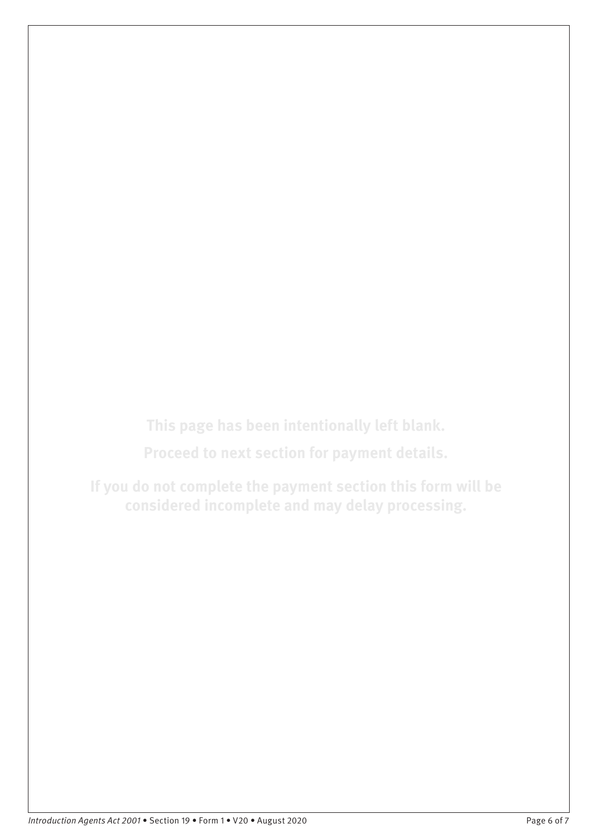**This page has been intentionally left blank.**

**Proceed to next section for payment details.**

**If you do not complete the payment section this form will be considered incomplete and may delay processing.**